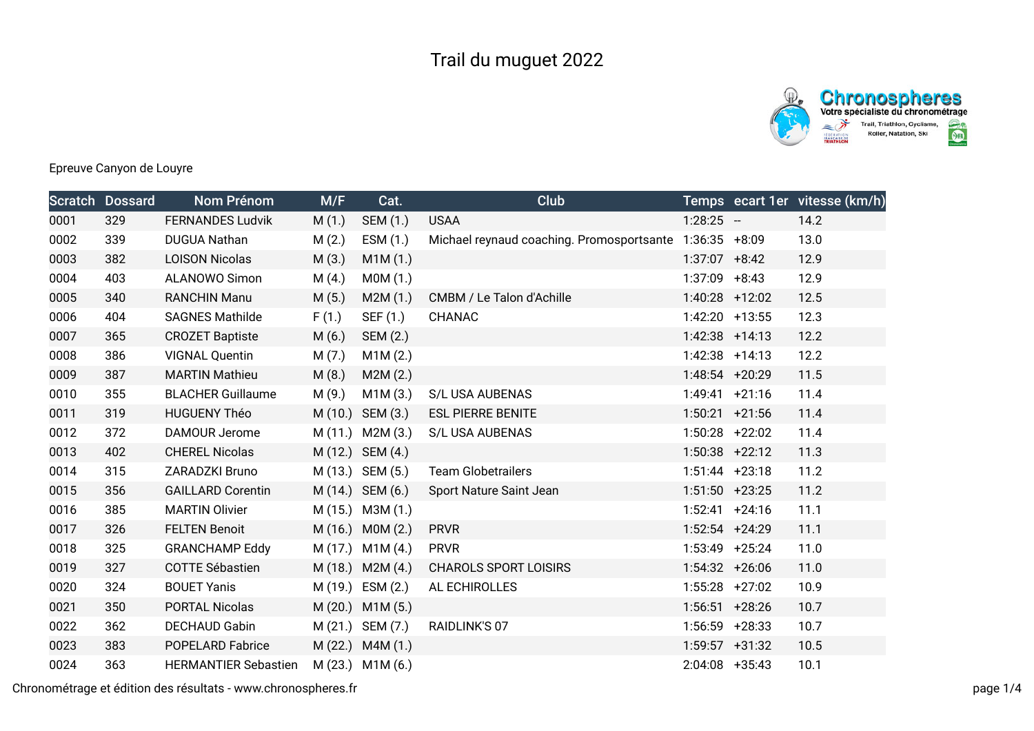

## Epreuve Canyon de Louyre

|      | <b>Scratch Dossard</b> | Nom Prénom                  | M/F     | Cat.             | Club                                                    |                   | Temps ecart 1er vitesse (km/h) |
|------|------------------------|-----------------------------|---------|------------------|---------------------------------------------------------|-------------------|--------------------------------|
| 0001 | 329                    | <b>FERNANDES Ludvik</b>     | M(1.)   | SEM (1.)         | <b>USAA</b>                                             | $1:28:25 -$       | 14.2                           |
| 0002 | 339                    | <b>DUGUA Nathan</b>         | M(2.)   | ESM (1.)         | Michael reynaud coaching. Promosportsante 1:36:35 +8:09 |                   | 13.0                           |
| 0003 | 382                    | <b>LOISON Nicolas</b>       | M(3.)   | M1M(1.)          |                                                         | $1:37:07$ +8:42   | 12.9                           |
| 0004 | 403                    | ALANOWO Simon               | M(4.)   | MOM(1.)          |                                                         | $1:37:09$ +8:43   | 12.9                           |
| 0005 | 340                    | <b>RANCHIN Manu</b>         | M(5.)   | M2M(1.)          | CMBM / Le Talon d'Achille                               | $1:40:28$ +12:02  | 12.5                           |
| 0006 | 404                    | <b>SAGNES Mathilde</b>      | F(1.)   | SEF (1.)         | CHANAC                                                  | 1:42:20 +13:55    | 12.3                           |
| 0007 | 365                    | <b>CROZET Baptiste</b>      | M(6.)   | SEM (2.)         |                                                         | $1:42:38$ +14:13  | 12.2                           |
| 0008 | 386                    | <b>VIGNAL Quentin</b>       | M(7.)   | M1M(2.)          |                                                         | $1:42:38$ +14:13  | 12.2                           |
| 0009 | 387                    | <b>MARTIN Mathieu</b>       | M(8.)   | M2M(2.)          |                                                         | 1:48:54 +20:29    | 11.5                           |
| 0010 | 355                    | <b>BLACHER Guillaume</b>    | M (9.)  | M1M(3.)          | S/L USA AUBENAS                                         | $1:49:41 + 21:16$ | 11.4                           |
| 0011 | 319                    | <b>HUGUENY Théo</b>         | M(10.)  | SEM (3.)         | <b>ESL PIERRE BENITE</b>                                | $1:50:21$ +21:56  | 11.4                           |
| 0012 | 372                    | DAMOUR Jerome               |         | M (11.) M2M (3.) | S/L USA AUBENAS                                         | $1:50:28$ +22:02  | 11.4                           |
| 0013 | 402                    | <b>CHEREL Nicolas</b>       | M (12.) | SEM (4.)         |                                                         | $1:50:38$ +22:12  | 11.3                           |
| 0014 | 315                    | ZARADZKI Bruno              |         | M (13.) SEM (5.) | <b>Team Globetrailers</b>                               | $1:51:44$ +23:18  | 11.2                           |
| 0015 | 356                    | <b>GAILLARD Corentin</b>    |         | M (14.) SEM (6.) | Sport Nature Saint Jean                                 | $1:51:50$ +23:25  | 11.2                           |
| 0016 | 385                    | <b>MARTIN Olivier</b>       |         | M (15.) M3M (1.) |                                                         | $1:52:41 +24:16$  | 11.1                           |
| 0017 | 326                    | <b>FELTEN Benoit</b>        | M (16.) | MOM(2.)          | <b>PRVR</b>                                             | $1:52:54$ +24:29  | 11.1                           |
| 0018 | 325                    | <b>GRANCHAMP Eddy</b>       | M (17.) | M1M(4)           | <b>PRVR</b>                                             | $1:53:49$ +25:24  | 11.0                           |
| 0019 | 327                    | <b>COTTE Sébastien</b>      | M (18.) | M2M(4)           | <b>CHAROLS SPORT LOISIRS</b>                            | $1:54:32 + 26:06$ | 11.0                           |
| 0020 | 324                    | <b>BOUET Yanis</b>          |         | M (19.) ESM (2.) | AL ECHIROLLES                                           | $1:55:28$ +27:02  | 10.9                           |
| 0021 | 350                    | <b>PORTAL Nicolas</b>       | M(20.)  | M1M(5.)          |                                                         | $1:56:51$ +28:26  | 10.7                           |
| 0022 | 362                    | DECHAUD Gabin               |         | M (21.) SEM (7.) | RAIDLINK'S 07                                           | $1:56:59$ +28:33  | 10.7                           |
| 0023 | 383                    | <b>POPELARD Fabrice</b>     | M(22.)  | M4M(1.)          |                                                         | $1:59:57$ +31:32  | 10.5                           |
| 0024 | 363                    | <b>HERMANTIER Sebastien</b> |         | M (23.) M1M (6.) |                                                         | $2:04:08$ +35:43  | 10.1                           |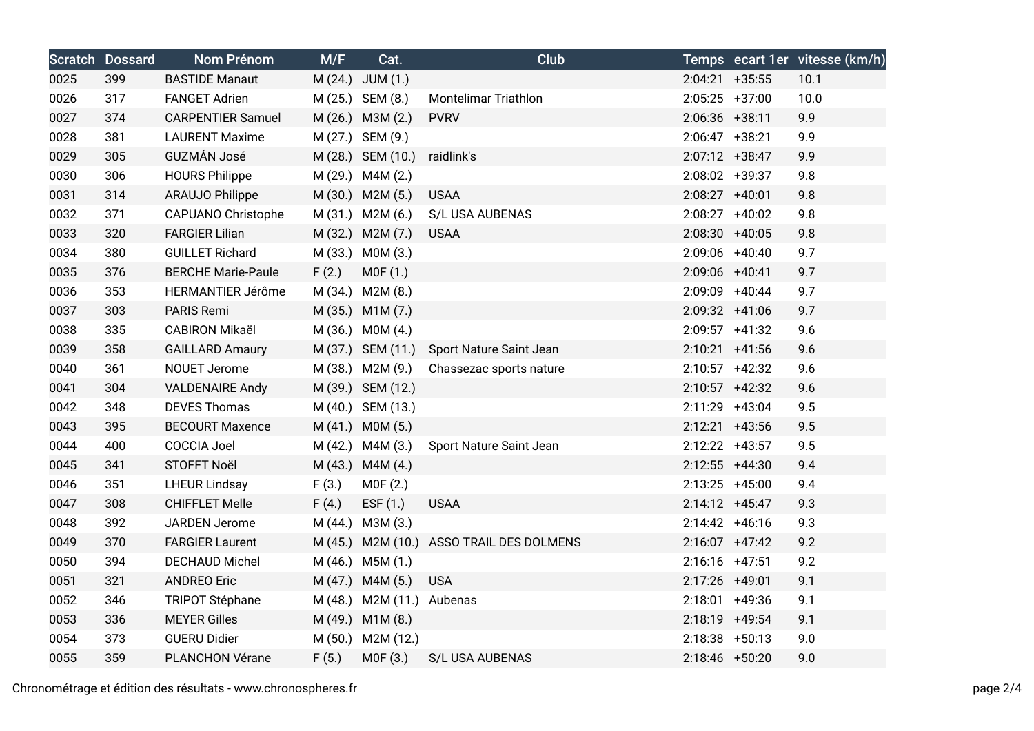|      | <b>Scratch Dossard</b> | Nom Prénom                | M/F   | Cat.                      | <b>Club</b>                              |                  |                  | Temps ecart 1er vitesse (km/h) |
|------|------------------------|---------------------------|-------|---------------------------|------------------------------------------|------------------|------------------|--------------------------------|
| 0025 | 399                    | <b>BASTIDE Manaut</b>     |       | M (24.) JUM (1.)          |                                          | $2:04:21$ +35:55 |                  | 10.1                           |
| 0026 | 317                    | <b>FANGET Adrien</b>      |       | M (25.) SEM (8.)          | Montelimar Triathlon                     | $2:05:25$ +37:00 |                  | 10.0                           |
| 0027 | 374                    | <b>CARPENTIER Samuel</b>  |       | M (26.) M3M (2.)          | <b>PVRV</b>                              | $2:06:36$ +38:11 |                  | 9.9                            |
| 0028 | 381                    | <b>LAURENT Maxime</b>     |       | M (27.) SEM (9.)          |                                          | $2:06:47$ +38:21 |                  | 9.9                            |
| 0029 | 305                    | GUZMÁN José               |       | M (28.) SEM (10.)         | raidlink's                               | $2:07:12$ +38:47 |                  | 9.9                            |
| 0030 | 306                    | <b>HOURS Philippe</b>     |       | M (29.) M4M (2.)          |                                          | 2:08:02 +39:37   |                  | 9.8                            |
| 0031 | 314                    | <b>ARAUJO Philippe</b>    |       | M (30.) M2M (5.)          | <b>USAA</b>                              | $2:08:27$ +40:01 |                  | 9.8                            |
| 0032 | 371                    | <b>CAPUANO Christophe</b> |       | M (31.) M2M (6.)          | S/L USA AUBENAS                          | 2:08:27 +40:02   |                  | 9.8                            |
| 0033 | 320                    | <b>FARGIER Lilian</b>     |       | M (32.) M2M (7.)          | <b>USAA</b>                              | $2:08:30 +40:05$ |                  | 9.8                            |
| 0034 | 380                    | <b>GUILLET Richard</b>    |       | M (33.) M0M (3.)          |                                          | $2:09:06$ +40:40 |                  | 9.7                            |
| 0035 | 376                    | <b>BERCHE Marie-Paule</b> | F(2.) | MOF(1.)                   |                                          | 2:09:06 +40:41   |                  | 9.7                            |
| 0036 | 353                    | HERMANTIER Jérôme         |       | M (34.) M2M (8.)          |                                          | $2:09:09$ +40:44 |                  | 9.7                            |
| 0037 | 303                    | PARIS Remi                |       | M (35.) M1M (7.)          |                                          | 2:09:32 +41:06   |                  | 9.7                            |
| 0038 | 335                    | <b>CABIRON Mikaël</b>     |       | M (36.) M0M (4.)          |                                          | $2:09:57$ +41:32 |                  | 9.6                            |
| 0039 | 358                    | <b>GAILLARD Amaury</b>    |       | M (37.) SEM (11.)         | Sport Nature Saint Jean                  | $2:10:21$ +41:56 |                  | 9.6                            |
| 0040 | 361                    | NOUET Jerome              |       | M (38.) M2M (9.)          | Chassezac sports nature                  |                  | $2:10:57$ +42:32 | 9.6                            |
| 0041 | 304                    | <b>VALDENAIRE Andy</b>    |       | M (39.) SEM (12.)         |                                          | $2:10:57$ +42:32 |                  | 9.6                            |
| 0042 | 348                    | <b>DEVES Thomas</b>       |       | M (40.) SEM (13.)         |                                          | $2:11:29$ +43:04 |                  | 9.5                            |
| 0043 | 395                    | <b>BECOURT Maxence</b>    |       | M (41.) M0M (5.)          |                                          | $2:12:21$ +43:56 |                  | 9.5                            |
| 0044 | 400                    | <b>COCCIA Joel</b>        |       | M (42.) M4M (3.)          | Sport Nature Saint Jean                  | $2:12:22$ +43:57 |                  | 9.5                            |
| 0045 | 341                    | STOFFT Noël               |       | M (43.) M4M (4.)          |                                          | $2:12:55$ +44:30 |                  | 9.4                            |
| 0046 | 351                    | <b>LHEUR Lindsay</b>      | F(3.) | MOF(2.)                   |                                          | $2:13:25$ +45:00 |                  | 9.4                            |
| 0047 | 308                    | <b>CHIFFLET Melle</b>     | F(4.) | ESF (1.)                  | <b>USAA</b>                              | $2:14:12 +45:47$ |                  | 9.3                            |
| 0048 | 392                    | JARDEN Jerome             |       | M (44.) M3M (3.)          |                                          | $2:14:42 +46:16$ |                  | 9.3                            |
| 0049 | 370                    | <b>FARGIER Laurent</b>    |       |                           | M (45.) M2M (10.) ASSO TRAIL DES DOLMENS | $2:16:07$ +47:42 |                  | 9.2                            |
| 0050 | 394                    | <b>DECHAUD Michel</b>     |       | M (46.) M5M (1.)          |                                          | $2:16:16$ +47:51 |                  | 9.2                            |
| 0051 | 321                    | <b>ANDREO Eric</b>        |       | $M(47.)$ M4M $(5.)$       | <b>USA</b>                               | 2:17:26 +49:01   |                  | 9.1                            |
| 0052 | 346                    | <b>TRIPOT Stéphane</b>    |       | M (48.) M2M (11.) Aubenas |                                          | 2:18:01 +49:36   |                  | 9.1                            |
| 0053 | 336                    | <b>MEYER Gilles</b>       |       | M (49.) M1M (8.)          |                                          | 2:18:19 +49:54   |                  | 9.1                            |
| 0054 | 373                    | <b>GUERU Didier</b>       |       | M (50.) M2M (12.)         |                                          | $2:18:38$ +50:13 |                  | 9.0                            |
| 0055 | 359                    | <b>PLANCHON Vérane</b>    | F(5.) | MOF(3.)                   | S/L USA AUBENAS                          | $2:18:46$ +50:20 |                  | 9.0                            |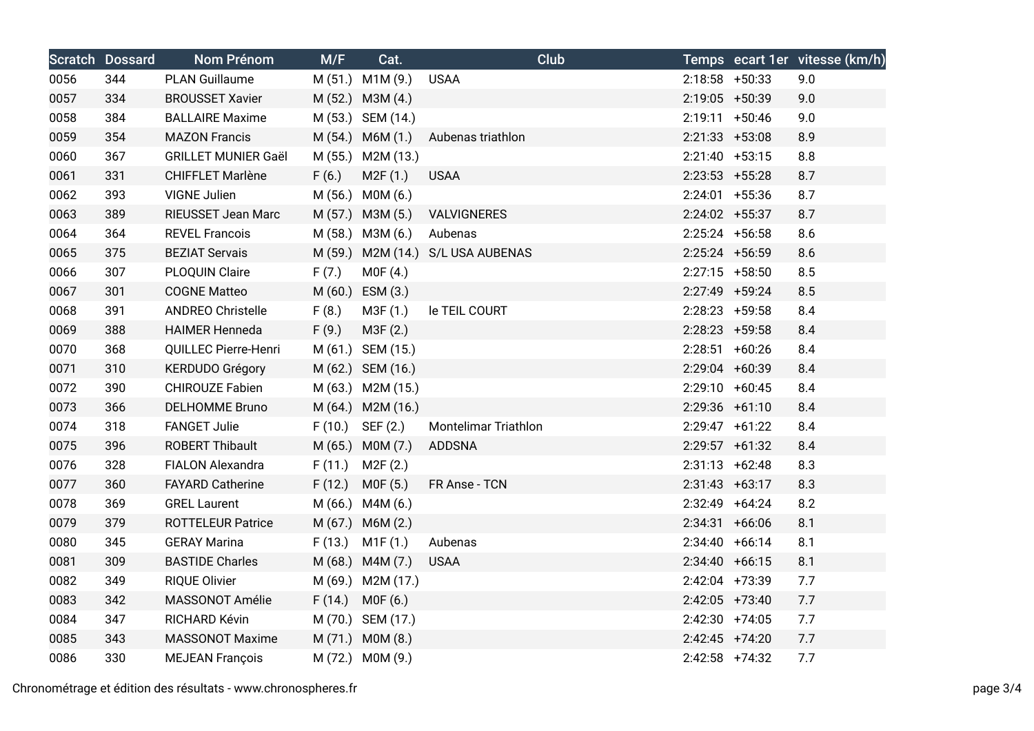|      | <b>Scratch Dossard</b> | Nom Prénom                  | M/F    | Cat.                | <b>Club</b>                       |                   | Temps ecart 1er vitesse (km/h) |
|------|------------------------|-----------------------------|--------|---------------------|-----------------------------------|-------------------|--------------------------------|
| 0056 | 344                    | <b>PLAN Guillaume</b>       |        | M (51.) M1M (9.)    | <b>USAA</b>                       | $2:18:58$ +50:33  | 9.0                            |
| 0057 | 334                    | <b>BROUSSET Xavier</b>      |        | M (52.) M3M (4.)    |                                   | 2:19:05 +50:39    | 9.0                            |
| 0058 | 384                    | <b>BALLAIRE Maxime</b>      |        | M (53.) SEM (14.)   |                                   | $2:19:11 + 50:46$ | 9.0                            |
| 0059 | 354                    | <b>MAZON Francis</b>        |        | M (54.) M6M (1.)    | Aubenas triathlon                 | $2:21:33 + 53:08$ | 8.9                            |
| 0060 | 367                    | <b>GRILLET MUNIER Gaël</b>  |        | M (55.) M2M (13.)   |                                   | $2:21:40 +53:15$  | 8.8                            |
| 0061 | 331                    | CHIFFLET Marlène            | F(6.)  | M2F(1.)             | <b>USAA</b>                       | $2:23:53$ +55:28  | 8.7                            |
| 0062 | 393                    | <b>VIGNE Julien</b>         |        | M (56.) M0M (6.)    |                                   | $2:24:01$ +55:36  | 8.7                            |
| 0063 | 389                    | RIEUSSET Jean Marc          |        | M (57.) M3M (5.)    | VALVIGNERES                       | $2:24:02$ +55:37  | 8.7                            |
| 0064 | 364                    | <b>REVEL Francois</b>       |        | M (58.) M3M (6.)    | Aubenas                           | $2:25:24$ +56:58  | 8.6                            |
| 0065 | 375                    | <b>BEZIAT Servais</b>       |        |                     | M (59.) M2M (14.) S/L USA AUBENAS | $2:25:24$ +56:59  | 8.6                            |
| 0066 | 307                    | PLOQUIN Claire              | F(7.)  | MOF(4.)             |                                   | $2:27:15$ +58:50  | 8.5                            |
| 0067 | 301                    | <b>COGNE Matteo</b>         |        | M (60.) ESM (3.)    |                                   | 2:27:49 +59:24    | 8.5                            |
| 0068 | 391                    | <b>ANDREO Christelle</b>    | F(8.)  | M3F (1.)            | le TEIL COURT                     | $2:28:23$ +59:58  | 8.4                            |
| 0069 | 388                    | <b>HAIMER Henneda</b>       | F(9.)  | M3F (2.)            |                                   | $2:28:23 + 59:58$ | 8.4                            |
| 0070 | 368                    | <b>QUILLEC Pierre-Henri</b> |        | M (61.) SEM (15.)   |                                   | $2:28:51$ +60:26  | 8.4                            |
| 0071 | 310                    | <b>KERDUDO Grégory</b>      |        | M (62.) SEM (16.)   |                                   | $2:29:04$ +60:39  | 8.4                            |
| 0072 | 390                    | <b>CHIROUZE Fabien</b>      |        | M (63.) M2M (15.)   |                                   | $2:29:10 + 60:45$ | 8.4                            |
| 0073 | 366                    | <b>DELHOMME Bruno</b>       |        | M (64.) M2M (16.)   |                                   | $2:29:36$ +61:10  | 8.4                            |
| 0074 | 318                    | <b>FANGET Julie</b>         |        | $F(10.)$ SEF $(2.)$ | Montelimar Triathlon              | $2:29:47$ +61:22  | 8.4                            |
| 0075 | 396                    | <b>ROBERT Thibault</b>      |        | M (65.) M0M (7.)    | <b>ADDSNA</b>                     | $2:29:57$ +61:32  | 8.4                            |
| 0076 | 328                    | <b>FIALON Alexandra</b>     | F(11.) | M2F (2.)            |                                   | $2:31:13 +62:48$  | 8.3                            |
| 0077 | 360                    | <b>FAYARD Catherine</b>     |        | $F(12.)$ MOF $(5.)$ | FR Anse - TCN                     | $2:31:43 +63:17$  | 8.3                            |
| 0078 | 369                    | <b>GREL Laurent</b>         |        | M (66.) M4M (6.)    |                                   | $2:32:49$ +64:24  | 8.2                            |
| 0079 | 379                    | <b>ROTTELEUR Patrice</b>    |        | M (67.) M6M (2.)    |                                   | $2:34:31 + 66:06$ | 8.1                            |
| 0080 | 345                    | <b>GERAY Marina</b>         |        | $F(13.)$ M1F $(1.)$ | Aubenas                           | $2:34:40 +66:14$  | 8.1                            |
| 0081 | 309                    | <b>BASTIDE Charles</b>      |        | M (68.) M4M (7.)    | <b>USAA</b>                       | $2:34:40 +66:15$  | 8.1                            |
| 0082 | 349                    | <b>RIQUE Olivier</b>        |        | M (69.) M2M (17.)   |                                   | 2:42:04 +73:39    | 7.7                            |
| 0083 | 342                    | MASSONOT Amélie             |        | $F(14.)$ MOF $(6.)$ |                                   | $2:42:05$ +73:40  | 7.7                            |
| 0084 | 347                    | RICHARD Kévin               |        | M (70.) SEM (17.)   |                                   | $2:42:30$ +74:05  | 7.7                            |
| 0085 | 343                    | <b>MASSONOT Maxime</b>      |        | M (71.) M0M (8.)    |                                   | $2:42:45$ +74:20  | 7.7                            |
| 0086 | 330                    | <b>MEJEAN François</b>      |        | M (72.) M0M (9.)    |                                   | $2:42:58$ +74:32  | 7.7                            |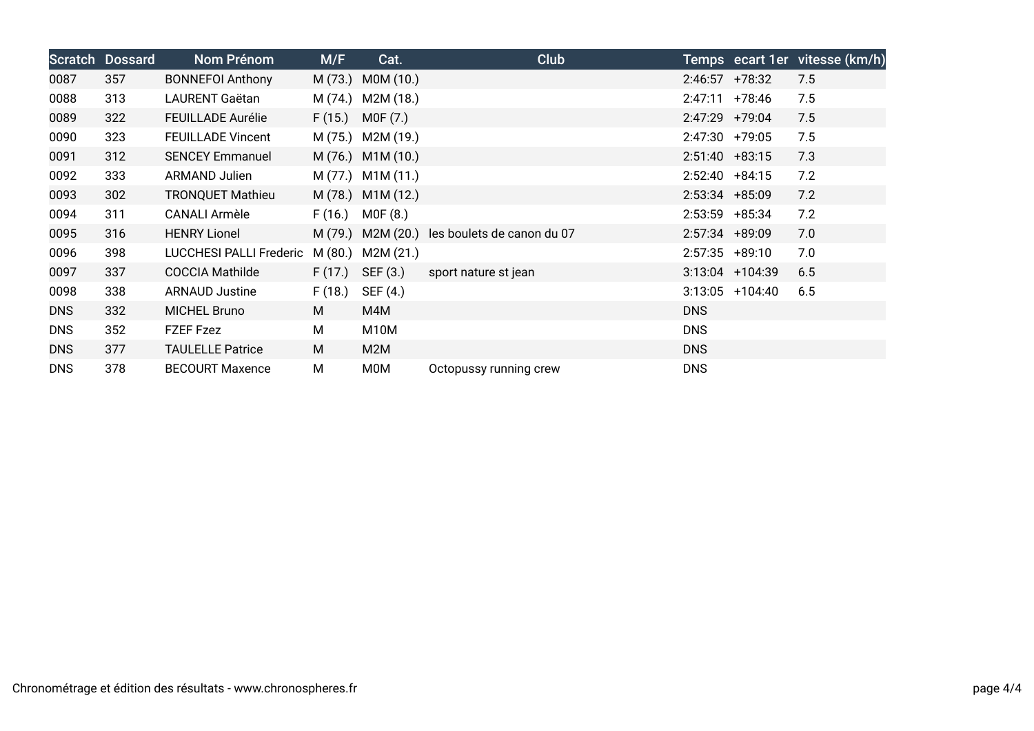| Scratch    | <b>Dossard</b> | Nom Prénom                     | M/F     | Cat.              | <b>Club</b>                |                   |                   | Temps ecart 1er vitesse (km/h) |
|------------|----------------|--------------------------------|---------|-------------------|----------------------------|-------------------|-------------------|--------------------------------|
| 0087       | 357            | <b>BONNEFOI Anthony</b>        |         | M (73.) M0M (10.) |                            | $2:46:57$ +78:32  |                   | 7.5                            |
| 0088       | 313            | LAURENT Gaëtan                 | M (74.) | M2M (18.)         |                            | $2:47:11 + 78:46$ |                   | 7.5                            |
| 0089       | 322            | <b>FEUILLADE Aurélie</b>       | F(15.)  | M0F (7.)          |                            | $2:47:29$ +79:04  |                   | 7.5                            |
| 0090       | 323            | <b>FEUILLADE Vincent</b>       |         | M (75.) M2M (19.) |                            | $2:47:30$ +79:05  |                   | 7.5                            |
| 0091       | 312            | <b>SENCEY Emmanuel</b>         |         | M (76.) M1M (10.) |                            | $2:51:40 + 83:15$ |                   | 7.3                            |
| 0092       | 333            | <b>ARMAND Julien</b>           |         | M (77.) M1M (11.) |                            | $2:52:40 + 84:15$ |                   | 7.2                            |
| 0093       | 302            | <b>TRONQUET Mathieu</b>        |         | M (78.) M1M (12.) |                            | $2:53:34$ +85:09  |                   | 7.2                            |
| 0094       | 311            | CANALI Armèle                  | F(16.)  | MOF(8.)           |                            | $2:53:59$ +85:34  |                   | 7.2                            |
| 0095       | 316            | <b>HENRY Lionel</b>            |         | M (79.) M2M (20.) | les boulets de canon du 07 | $2:57:34$ +89:09  |                   | 7.0                            |
| 0096       | 398            | <b>LUCCHESI PALLI Frederic</b> | M(80.)  | M2M (21.)         |                            | $2:57:35$ +89:10  |                   | 7.0                            |
| 0097       | 337            | <b>COCCIA Mathilde</b>         | F(17.)  | SEF (3.)          | sport nature st jean       |                   | $3:13:04$ +104:39 | 6.5                            |
| 0098       | 338            | <b>ARNAUD Justine</b>          | F(18.)  | SEF (4.)          |                            |                   | $3:13:05$ +104:40 | 6.5                            |
| <b>DNS</b> | 332            | <b>MICHEL Bruno</b>            | M       | M4M               |                            | DNS               |                   |                                |
| <b>DNS</b> | 352            | FZEF Fzez                      | М       | M <sub>10</sub> M |                            | <b>DNS</b>        |                   |                                |
| <b>DNS</b> | 377            | <b>TAULELLE Patrice</b>        | M       | M2M               |                            | <b>DNS</b>        |                   |                                |
| <b>DNS</b> | 378            | <b>BECOURT Maxence</b>         | M       | M0M               | Octopussy running crew     | <b>DNS</b>        |                   |                                |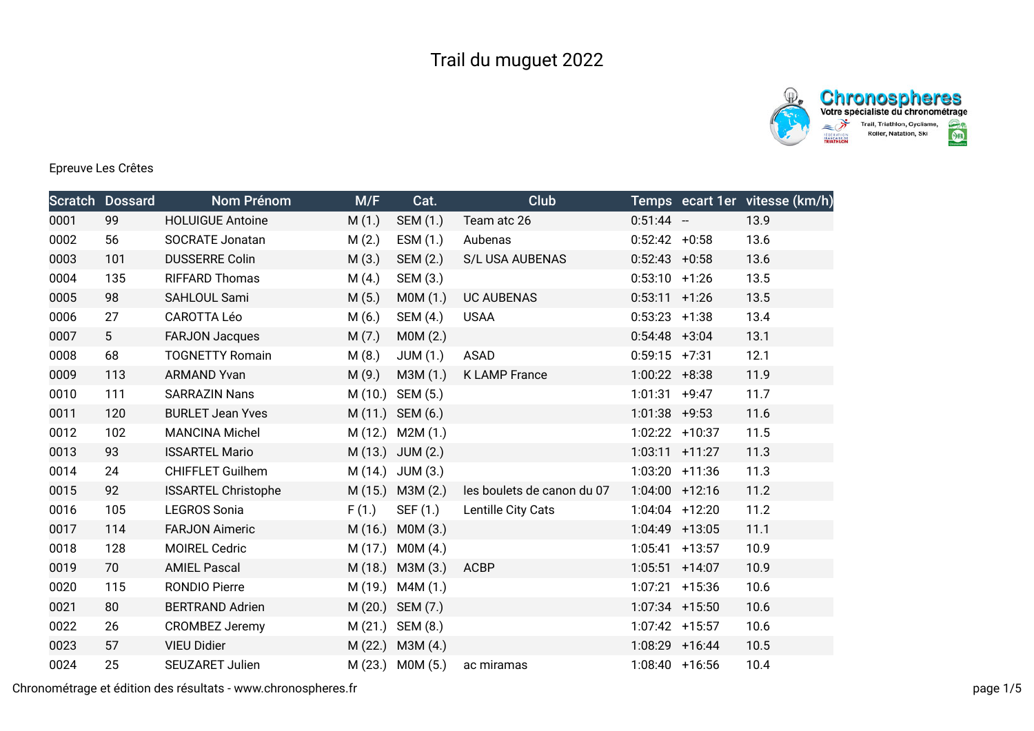



## Epreuve Les Crêtes

|      | <b>Scratch Dossard</b> | Nom Prénom                 | M/F     | Cat.             | Club                       |                   | Temps ecart 1er vitesse (km/h) |
|------|------------------------|----------------------------|---------|------------------|----------------------------|-------------------|--------------------------------|
| 0001 | 99                     | <b>HOLUIGUE Antoine</b>    | M(1.)   | SEM (1.)         | Team atc 26                | $0:51:44 -$       | 13.9                           |
| 0002 | 56                     | <b>SOCRATE Jonatan</b>     | M(2.)   | ESM(1.)          | Aubenas                    | $0:52:42 +0:58$   | 13.6                           |
| 0003 | 101                    | <b>DUSSERRE Colin</b>      | M(3.)   | SEM (2.)         | <b>S/L USA AUBENAS</b>     | $0:52:43 +0:58$   | 13.6                           |
| 0004 | 135                    | <b>RIFFARD Thomas</b>      | M(4.)   | SEM (3.)         |                            | $0:53:10 +1:26$   | 13.5                           |
| 0005 | 98                     | SAHLOUL Sami               | M(5.)   | MOM(1.)          | <b>UC AUBENAS</b>          | $0:53:11 +1:26$   | 13.5                           |
| 0006 | 27                     | <b>CAROTTA Léo</b>         | M(6.)   | SEM (4.)         | <b>USAA</b>                | $0:53:23$ +1:38   | 13.4                           |
| 0007 | 5 <sup>5</sup>         | <b>FARJON Jacques</b>      | M(7.)   | MOM(2.)          |                            | $0:54:48$ +3:04   | 13.1                           |
| 0008 | 68                     | <b>TOGNETTY Romain</b>     | M(8.)   | JUM(1.)          | <b>ASAD</b>                | $0:59:15$ +7:31   | 12.1                           |
| 0009 | 113                    | <b>ARMAND Yvan</b>         | M(9.)   | M3M(1.)          | <b>K LAMP France</b>       | $1:00:22 + 8:38$  | 11.9                           |
| 0010 | 111                    | <b>SARRAZIN Nans</b>       |         | M (10.) SEM (5.) |                            | $1:01:31 +9:47$   | 11.7                           |
| 0011 | 120                    | <b>BURLET Jean Yves</b>    |         | M (11.) SEM (6.) |                            | $1:01:38$ +9:53   | 11.6                           |
| 0012 | 102                    | <b>MANCINA Michel</b>      | M(12.)  | M2M (1.)         |                            | 1:02:22 +10:37    | 11.5                           |
| 0013 | 93                     | <b>ISSARTEL Mario</b>      | M(13.)  | JUM (2.)         |                            | $1:03:11$ +11:27  | 11.3                           |
| 0014 | 24                     | <b>CHIFFLET Guilhem</b>    | M (14.) | JUM (3.)         |                            | $1:03:20$ +11:36  | 11.3                           |
| 0015 | 92                     | <b>ISSARTEL Christophe</b> | M(15.)  | M3M (2.)         | les boulets de canon du 07 | $1:04:00$ +12:16  | 11.2                           |
| 0016 | 105                    | <b>LEGROS Sonia</b>        | F(1.)   | SEF (1.)         | Lentille City Cats         | $1:04:04$ +12:20  | 11.2                           |
| 0017 | 114                    | <b>FARJON Aimeric</b>      | M (16.) | MOM(3.)          |                            | $1:04:49$ +13:05  | 11.1                           |
| 0018 | 128                    | <b>MOIREL Cedric</b>       | M (17.) | MOM(4.)          |                            | $1:05:41$ +13:57  | 10.9                           |
| 0019 | 70                     | <b>AMIEL Pascal</b>        | M (18.) | M3M (3.)         | <b>ACBP</b>                | $1:05:51$ +14:07  | 10.9                           |
| 0020 | 115                    | <b>RONDIO Pierre</b>       | M (19.) | M4M (1.)         |                            | $1:07:21$ +15:36  | 10.6                           |
| 0021 | 80                     | <b>BERTRAND Adrien</b>     | M(20.)  | SEM (7.)         |                            | $1:07:34$ +15:50  | 10.6                           |
| 0022 | 26                     | <b>CROMBEZ Jeremy</b>      | M(21.)  | SEM (8.)         |                            | $1:07:42$ +15:57  | 10.6                           |
| 0023 | 57                     | <b>VIEU Didier</b>         | M(22.)  | M3M(4.)          |                            | $1:08:29$ +16:44  | 10.5                           |
| 0024 | 25                     | <b>SEUZARET Julien</b>     | M(23.)  | MOM(5.)          | ac miramas                 | $1:08:40 + 16:56$ | 10.4                           |

Chronométrage et édition des résultats - www.chronospheres.fr page 1/5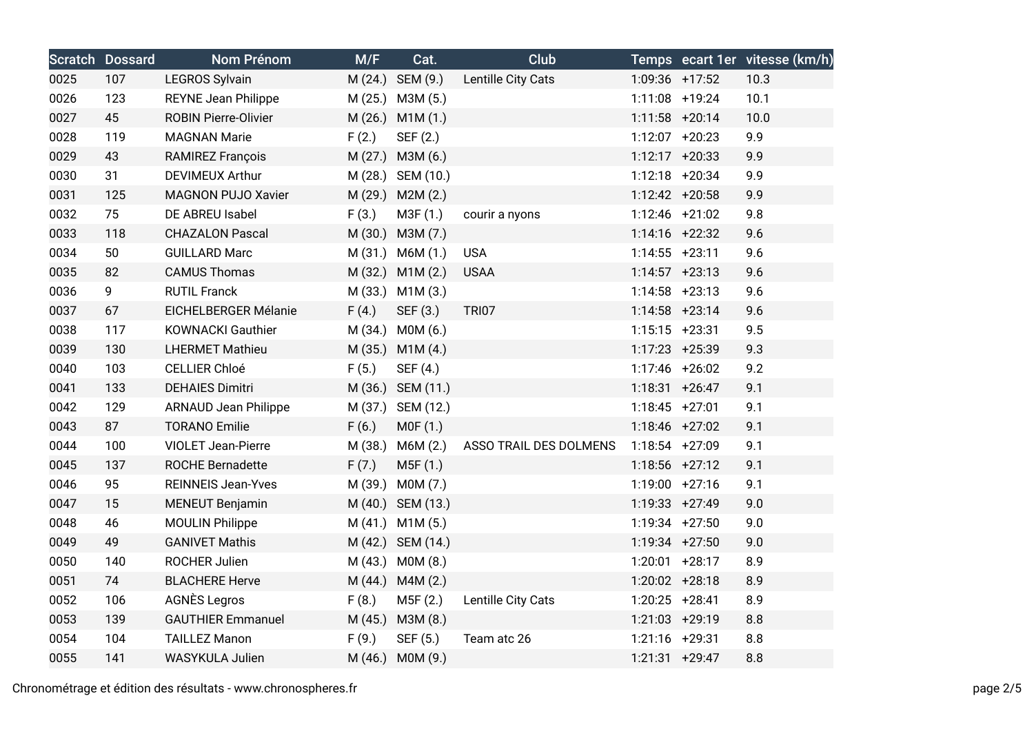|      | <b>Scratch Dossard</b> | Nom Prénom                  | M/F   | Cat.                | <b>Club</b>            |                   |                  | Temps ecart 1er vitesse (km/h) |
|------|------------------------|-----------------------------|-------|---------------------|------------------------|-------------------|------------------|--------------------------------|
| 0025 | 107                    | <b>LEGROS Sylvain</b>       |       | M (24.) SEM (9.)    | Lentille City Cats     |                   | 1:09:36 +17:52   | 10.3                           |
| 0026 | 123                    | <b>REYNE Jean Philippe</b>  |       | M (25.) M3M (5.)    |                        | 1:11:08 +19:24    |                  | 10.1                           |
| 0027 | 45                     | <b>ROBIN Pierre-Olivier</b> |       | M (26.) M1M (1.)    |                        | $1:11:58$ +20:14  |                  | 10.0                           |
| 0028 | 119                    | <b>MAGNAN Marie</b>         | F(2.) | SEF (2.)            |                        | 1:12:07 +20:23    |                  | 9.9                            |
| 0029 | 43                     | <b>RAMIREZ François</b>     |       | M (27.) M3M (6.)    |                        | $1:12:17 + 20:33$ |                  | 9.9                            |
| 0030 | 31                     | <b>DEVIMEUX Arthur</b>      |       | M (28.) SEM (10.)   |                        |                   | $1:12:18$ +20:34 | 9.9                            |
| 0031 | 125                    | <b>MAGNON PUJO Xavier</b>   |       | M (29.) M2M (2.)    |                        | 1:12:42 +20:58    |                  | 9.9                            |
| 0032 | 75                     | DE ABREU Isabel             | F(3.) | M3F(1.)             | courir a nyons         |                   | 1:12:46 +21:02   | 9.8                            |
| 0033 | 118                    | <b>CHAZALON Pascal</b>      |       | M (30.) M3M (7.)    |                        | $1:14:16$ +22:32  |                  | 9.6                            |
| 0034 | 50                     | <b>GUILLARD Marc</b>        |       | $M(31.)$ $M6M(1.)$  | <b>USA</b>             | $1:14:55$ +23:11  |                  | 9.6                            |
| 0035 | 82                     | <b>CAMUS Thomas</b>         |       | M (32.) M1M (2.)    | <b>USAA</b>            | $1:14:57$ +23:13  |                  | 9.6                            |
| 0036 | 9                      | <b>RUTIL Franck</b>         |       | M (33.) M1M (3.)    |                        | $1:14:58$ +23:13  |                  | 9.6                            |
| 0037 | 67                     | EICHELBERGER Mélanie        | F(4.) | SEF (3.)            | <b>TRI07</b>           | $1:14:58$ +23:14  |                  | 9.6                            |
| 0038 | 117                    | <b>KOWNACKI Gauthier</b>    |       | M (34.) M0M (6.)    |                        | $1:15:15$ +23:31  |                  | 9.5                            |
| 0039 | 130                    | <b>LHERMET Mathieu</b>      |       | M (35.) M1M (4.)    |                        | 1:17:23 +25:39    |                  | 9.3                            |
| 0040 | 103                    | <b>CELLIER Chloé</b>        | F(5.) | SEF (4.)            |                        |                   | 1:17:46 +26:02   | 9.2                            |
| 0041 | 133                    | <b>DEHAIES Dimitri</b>      |       | M (36.) SEM (11.)   |                        | $1:18:31 + 26:47$ |                  | 9.1                            |
| 0042 | 129                    | <b>ARNAUD Jean Philippe</b> |       | M (37.) SEM (12.)   |                        | $1:18:45$ +27:01  |                  | 9.1                            |
| 0043 | 87                     | <b>TORANO Emilie</b>        | F(6.) | MOF(1.)             |                        | $1:18:46$ +27:02  |                  | 9.1                            |
| 0044 | 100                    | <b>VIOLET Jean-Pierre</b>   |       | M (38.) M6M (2.)    | ASSO TRAIL DES DOLMENS | 1:18:54 +27:09    |                  | 9.1                            |
| 0045 | 137                    | <b>ROCHE Bernadette</b>     | F(7.) | M5F (1.)            |                        | $1:18:56$ +27:12  |                  | 9.1                            |
| 0046 | 95                     | <b>REINNEIS Jean-Yves</b>   |       | M (39.) M0M (7.)    |                        | 1:19:00 +27:16    |                  | 9.1                            |
| 0047 | 15                     | <b>MENEUT Benjamin</b>      |       | M (40.) SEM (13.)   |                        | 1:19:33 +27:49    |                  | 9.0                            |
| 0048 | 46                     | <b>MOULIN Philippe</b>      |       | $M(41.)$ M1M $(5.)$ |                        |                   | $1:19:34$ +27:50 | 9.0                            |
| 0049 | 49                     | <b>GANIVET Mathis</b>       |       | M (42.) SEM (14.)   |                        | 1:19:34 +27:50    |                  | 9.0                            |
| 0050 | 140                    | ROCHER Julien               |       | M (43.) M0M (8.)    |                        | $1:20:01$ +28:17  |                  | 8.9                            |
| 0051 | 74                     | <b>BLACHERE Herve</b>       |       | M (44.) M4M (2.)    |                        | 1:20:02 +28:18    |                  | 8.9                            |
| 0052 | 106                    | <b>AGNÈS Legros</b>         | F(8.) | M5F (2.)            | Lentille City Cats     | $1:20:25$ +28:41  |                  | 8.9                            |
| 0053 | 139                    | <b>GAUTHIER Emmanuel</b>    |       | M (45.) M3M (8.)    |                        | 1:21:03 +29:19    |                  | 8.8                            |
| 0054 | 104                    | <b>TAILLEZ Manon</b>        | F(9.) | SEF (5.)            | Team atc 26            | 1:21:16 +29:31    |                  | 8.8                            |
| 0055 | 141                    | <b>WASYKULA Julien</b>      |       | M (46.) M0M (9.)    |                        | $1:21:31$ +29:47  |                  | 8.8                            |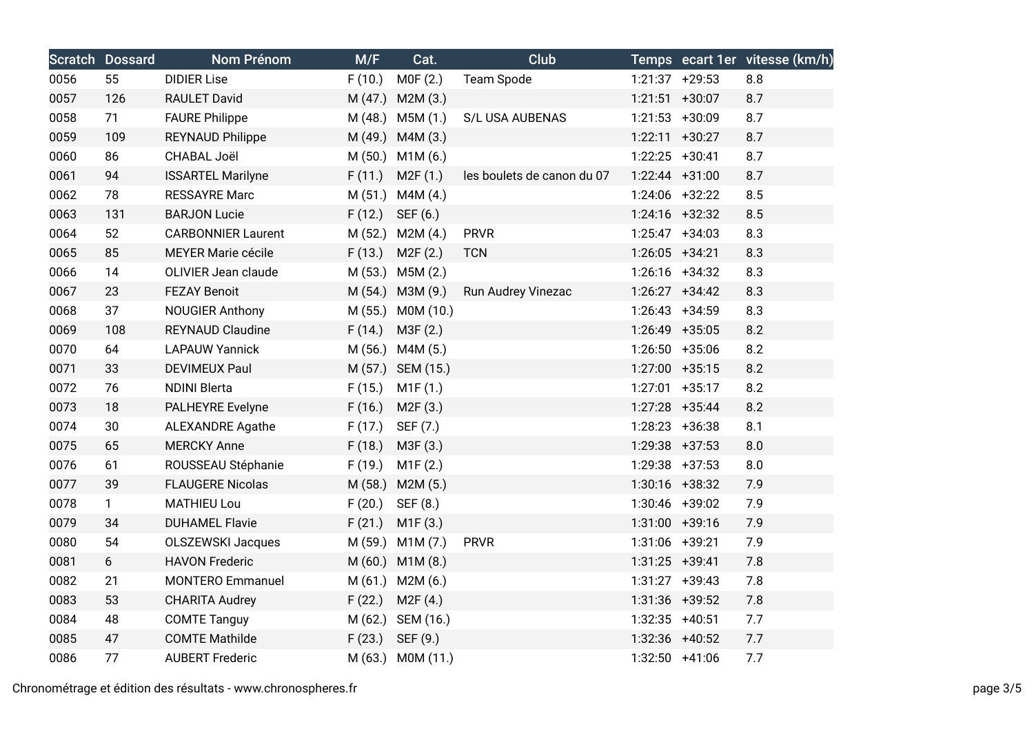|      | <b>Scratch Dossard</b> | Nom Prénom                | M/F     | Cat.                | Club                       |                   | Temps ecart 1er vitesse (km/h) |
|------|------------------------|---------------------------|---------|---------------------|----------------------------|-------------------|--------------------------------|
| 0056 | 55                     | <b>DIDIER Lise</b>        | F(10.)  | MOF(2.)             | <b>Team Spode</b>          | $1:21:37$ +29:53  | 8.8                            |
| 0057 | 126                    | <b>RAULET David</b>       |         | M (47.) M2M (3.)    |                            | $1:21:51$ +30:07  | 8.7                            |
| 0058 | 71                     | <b>FAURE Philippe</b>     |         | M (48.) M5M (1.)    | S/L USA AUBENAS            | $1:21:53$ +30:09  | 8.7                            |
| 0059 | 109                    | <b>REYNAUD Philippe</b>   |         | M (49.) M4M (3.)    |                            | $1:22:11 + 30:27$ | 8.7                            |
| 0060 | 86                     | CHABAL Joël               |         | M (50.) M1M (6.)    |                            | $1:22:25$ +30:41  | 8.7                            |
| 0061 | 94                     | <b>ISSARTEL Marilyne</b>  | F(11.)  | M2F(1.)             | les boulets de canon du 07 | $1:22:44$ +31:00  | 8.7                            |
| 0062 | 78                     | <b>RESSAYRE Marc</b>      |         | M (51.) M4M (4.)    |                            | 1:24:06 +32:22    | 8.5                            |
| 0063 | 131                    | <b>BARJON Lucie</b>       | F(12.)  | SEF (6.)            |                            | $1:24:16$ +32:32  | 8.5                            |
| 0064 | 52                     | <b>CARBONNIER Laurent</b> | M (52.) | M2M (4.)            | <b>PRVR</b>                | $1:25:47$ +34:03  | 8.3                            |
| 0065 | 85                     | MEYER Marie cécile        | F(13.)  | M2F(2.)             | <b>TCN</b>                 | $1:26:05$ +34:21  | 8.3                            |
| 0066 | 14                     | OLIVIER Jean claude       |         | M (53.) M5M (2.)    |                            | $1:26:16$ +34:32  | 8.3                            |
| 0067 | 23                     | <b>FEZAY Benoit</b>       |         | M (54.) M3M (9.)    | Run Audrey Vinezac         | $1:26:27$ +34:42  | 8.3                            |
| 0068 | 37                     | <b>NOUGIER Anthony</b>    |         | M (55.) M0M (10.)   |                            | $1:26:43 +34:59$  | 8.3                            |
| 0069 | 108                    | <b>REYNAUD Claudine</b>   | F(14.)  | M3F (2.)            |                            | 1:26:49 +35:05    | 8.2                            |
| 0070 | 64                     | <b>LAPAUW Yannick</b>     | M(56.)  | M4M (5.)            |                            | $1:26:50 + 35:06$ | 8.2                            |
| 0071 | 33                     | <b>DEVIMEUX Paul</b>      |         | M (57.) SEM (15.)   |                            | $1:27:00$ +35:15  | 8.2                            |
| 0072 | 76                     | <b>NDINI Blerta</b>       | F(15.)  | M1F(1.)             |                            | $1:27:01$ +35:17  | 8.2                            |
| 0073 | 18                     | <b>PALHEYRE Evelyne</b>   | F(16.)  | M2F(3.)             |                            | 1:27:28 +35:44    | 8.2                            |
| 0074 | 30                     | <b>ALEXANDRE Agathe</b>   | F(17.)  | SEF (7.)            |                            | $1:28:23$ +36:38  | 8.1                            |
| 0075 | 65                     | <b>MERCKY Anne</b>        | F(18.)  | M3F (3.)            |                            | 1:29:38 +37:53    | 8.0                            |
| 0076 | 61                     | ROUSSEAU Stéphanie        | F(19.)  | M1F(2.)             |                            | $1:29:38$ +37:53  | 8.0                            |
| 0077 | 39                     | <b>FLAUGERE Nicolas</b>   |         | M (58.) M2M (5.)    |                            | $1:30:16$ +38:32  | 7.9                            |
| 0078 | $\mathbf{1}$           | <b>MATHIEU Lou</b>        | F(20.)  | SEF (8.)            |                            | 1:30:46 +39:02    | 7.9                            |
| 0079 | 34                     | <b>DUHAMEL Flavie</b>     | F(21.)  | M1F(3.)             |                            | $1:31:00$ +39:16  | 7.9                            |
| 0080 | 54                     | <b>OLSZEWSKI Jacques</b>  |         | M (59.) M1M (7.)    | <b>PRVR</b>                | 1:31:06 +39:21    | 7.9                            |
| 0081 | 6                      | <b>HAVON Frederic</b>     |         | M (60.) M1M (8.)    |                            | 1:31:25 +39:41    | 7.8                            |
| 0082 | 21                     | <b>MONTERO Emmanuel</b>   |         | M (61.) M2M (6.)    |                            | $1:31:27$ +39:43  | 7.8                            |
| 0083 | 53                     | <b>CHARITA Audrey</b>     | F(22.)  | M2F(4.)             |                            | 1:31:36 +39:52    | 7.8                            |
| 0084 | 48                     | <b>COMTE Tanguy</b>       |         | M (62.) SEM (16.)   |                            | $1:32:35$ +40:51  | 7.7                            |
| 0085 | 47                     | <b>COMTE Mathilde</b>     |         | $F(23.)$ SEF $(9.)$ |                            | 1:32:36 +40:52    | 7.7                            |
| 0086 | 77                     | <b>AUBERT Frederic</b>    |         | M (63.) M0M (11.)   |                            | 1:32:50 +41:06    | 7.7                            |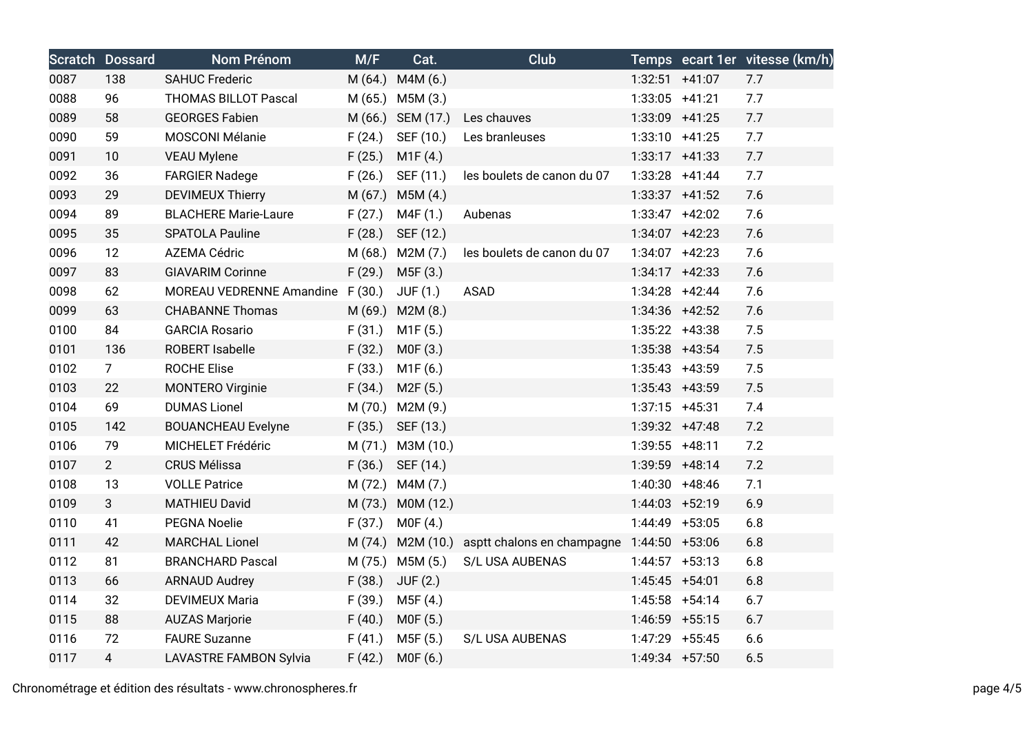|      | <b>Scratch Dossard</b> | <b>Nom Prénom</b>                | M/F    | Cat.                | <b>Club</b>                                                 |                  | Temps ecart 1er vitesse (km/h) |
|------|------------------------|----------------------------------|--------|---------------------|-------------------------------------------------------------|------------------|--------------------------------|
| 0087 | 138                    | <b>SAHUC Frederic</b>            |        | M (64.) M4M (6.)    |                                                             | $1:32:51$ +41:07 | 7.7                            |
| 0088 | 96                     | <b>THOMAS BILLOT Pascal</b>      |        | M (65.) M5M (3.)    |                                                             | $1:33:05$ +41:21 | 7.7                            |
| 0089 | 58                     | <b>GEORGES Fabien</b>            |        | M (66.) SEM (17.)   | Les chauves                                                 | 1:33:09 +41:25   | 7.7                            |
| 0090 | 59                     | MOSCONI Mélanie                  | F(24.) | SEF (10.)           | Les branleuses                                              | $1:33:10 +41:25$ | 7.7                            |
| 0091 | 10                     | <b>VEAU Mylene</b>               | F(25.) | M1F(4.)             |                                                             | $1:33:17$ +41:33 | 7.7                            |
| 0092 | 36                     | <b>FARGIER Nadege</b>            | F(26.) | SEF (11.)           | les boulets de canon du 07                                  | $1:33:28$ +41:44 | 7.7                            |
| 0093 | 29                     | <b>DEVIMEUX Thierry</b>          |        | M (67.) M5M (4.)    |                                                             | $1:33:37$ +41:52 | 7.6                            |
| 0094 | 89                     | <b>BLACHERE Marie-Laure</b>      | F(27.) | M4F (1.)            | Aubenas                                                     | $1:33:47$ +42:02 | 7.6                            |
| 0095 | 35                     | SPATOLA Pauline                  | F(28.) | SEF (12.)           |                                                             | 1:34:07 +42:23   | 7.6                            |
| 0096 | 12                     | AZEMA Cédric                     |        | $M(68.)$ M2M $(7.)$ | les boulets de canon du 07                                  | $1:34:07$ +42:23 | 7.6                            |
| 0097 | 83                     | <b>GIAVARIM Corinne</b>          | F(29.) | M5F (3.)            |                                                             | $1:34:17$ +42:33 | 7.6                            |
| 0098 | 62                     | MOREAU VEDRENNE Amandine F (30.) |        | JUF(1.)             | <b>ASAD</b>                                                 | $1:34:28$ +42:44 | 7.6                            |
| 0099 | 63                     | <b>CHABANNE Thomas</b>           |        | M (69.) M2M (8.)    |                                                             | $1:34:36$ +42:52 | 7.6                            |
| 0100 | 84                     | <b>GARCIA Rosario</b>            | F(31.) | M1F(5.)             |                                                             | $1:35:22$ +43:38 | 7.5                            |
| 0101 | 136                    | ROBERT Isabelle                  | F(32.) | MOF(3.)             |                                                             | 1:35:38 +43:54   | 7.5                            |
| 0102 | 7 <sup>7</sup>         | <b>ROCHE Elise</b>               | F(33.) | M1F(6.)             |                                                             | $1:35:43$ +43:59 | 7.5                            |
| 0103 | 22                     | <b>MONTERO Virginie</b>          | F(34.) | M2F(5.)             |                                                             | $1:35:43$ +43:59 | 7.5                            |
| 0104 | 69                     | <b>DUMAS Lionel</b>              |        | M (70.) M2M (9.)    |                                                             | $1:37:15$ +45:31 | 7.4                            |
| 0105 | 142                    | <b>BOUANCHEAU Evelyne</b>        | F(35.) | SEF (13.)           |                                                             | $1:39:32 +47:48$ | 7.2                            |
| 0106 | 79                     | MICHELET Frédéric                | M(71.) | M3M (10.)           |                                                             | $1:39:55$ +48:11 | 7.2                            |
| 0107 | $2^{\circ}$            | <b>CRUS Mélissa</b>              | F(36.) | SEF (14.)           |                                                             | 1:39:59 +48:14   | 7.2                            |
| 0108 | 13                     | <b>VOLLE Patrice</b>             |        | M (72.) M4M (7.)    |                                                             | $1:40:30 +48:46$ | 7.1                            |
| 0109 | 3 <sup>1</sup>         | <b>MATHIEU David</b>             |        | M (73.) M0M (12.)   |                                                             | $1:44:03$ +52:19 | 6.9                            |
| 0110 | 41                     | PEGNA Noelie                     | F(37.) | MOF(4.)             |                                                             | 1:44:49 +53:05   | 6.8                            |
| 0111 | 42                     | <b>MARCHAL Lionel</b>            |        |                     | M (74.) M2M (10.) asptt chalons en champagne 1:44:50 +53:06 |                  | 6.8                            |
| 0112 | 81                     | <b>BRANCHARD Pascal</b>          |        | M (75.) M5M (5.)    | S/L USA AUBENAS                                             | $1:44:57$ +53:13 | 6.8                            |
| 0113 | 66                     | <b>ARNAUD Audrey</b>             | F(38.) | <b>JUF (2.)</b>     |                                                             | 1:45:45 +54:01   | 6.8                            |
| 0114 | 32                     | <b>DEVIMEUX Maria</b>            | F(39.) | M5F (4.)            |                                                             | $1:45:58$ +54:14 | 6.7                            |
| 0115 | 88                     | <b>AUZAS Marjorie</b>            | F(40.) | MOF(5.)             |                                                             | $1:46:59$ +55:15 | 6.7                            |
| 0116 | 72                     | <b>FAURE Suzanne</b>             | F(41.) | M5F (5.)            | S/L USA AUBENAS                                             | 1:47:29 +55:45   | 6.6                            |
| 0117 | 4                      | <b>LAVASTRE FAMBON Sylvia</b>    | F(42.) | M0F (6.)            |                                                             | 1:49:34 +57:50   | 6.5                            |